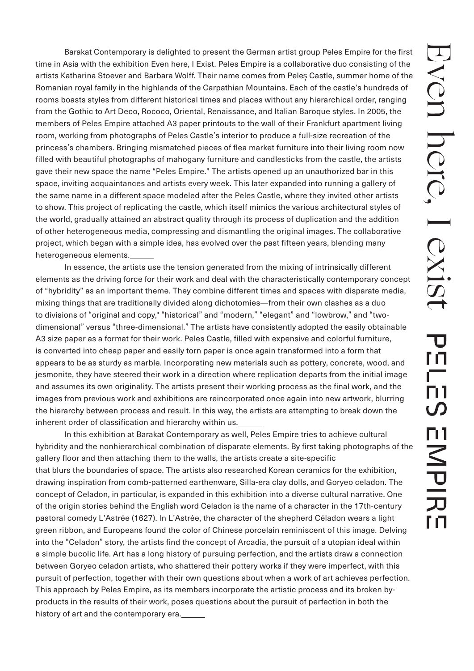Barakat Contemporary is delighted to present the German artist group Peles Empire for the first time in Asia with the exhibition Even here, I Exist. Peles Empire is a collaborative duo consisting of the artists Katharina Stoever and Barbara Wolff. Their name comes from Peleș Castle, summer home of the Romanian royal family in the highlands of the Carpathian Mountains. Each of the castle's hundreds of rooms boasts styles from different historical times and places without any hierarchical order, ranging from the Gothic to Art Deco, Rococo, Oriental, Renaissance, and Italian Baroque styles. In 2005, the members of Peles Empire attached A3 paper printouts to the wall of their Frankfurt apartment living room, working from photographs of Peles Castle's interior to produce a full-size recreation of the princess's chambers. Bringing mismatched pieces of flea market furniture into their living room now filled with beautiful photographs of mahogany furniture and candlesticks from the castle, the artists gave their new space the name "Peles Empire." The artists opened up an unauthorized bar in this space, inviting acquaintances and artists every week. This later expanded into running a gallery of the same name in a different space modeled after the Peles Castle, where they invited other artists to show. This project of replicating the castle, which itself mimics the various architectural styles of the world, gradually attained an abstract quality through its process of duplication and the addition of other heterogeneous media, compressing and dismantling the original images. The collaborative project, which began with a simple idea, has evolved over the past fifteen years, blending many heterogeneous elements.

 In essence, the artists use the tension generated from the mixing of intrinsically different elements as the driving force for their work and deal with the characteristically contemporary concept of "hybridity" as an important theme. They combine different times and spaces with disparate media, mixing things that are traditionally divided along dichotomies—from their own clashes as a duo to divisions of "original and copy," "historical" and "modern," "elegant" and "lowbrow," and "twodimensional" versus "three-dimensional." The artists have consistently adopted the easily obtainable A3 size paper as a format for their work. Peles Castle, filled with expensive and colorful furniture, is converted into cheap paper and easily torn paper is once again transformed into a form that appears to be as sturdy as marble. Incorporating new materials such as pottery, concrete, wood, and jesmonite, they have steered their work in a direction where replication departs from the initial image and assumes its own originality. The artists present their working process as the final work, and the images from previous work and exhibitions are reincorporated once again into new artwork, blurring the hierarchy between process and result. In this way, the artists are attempting to break down the inherent order of classification and hierarchy within us.

 In this exhibition at Barakat Contemporary as well, Peles Empire tries to achieve cultural hybridity and the nonhierarchical combination of disparate elements. By first taking photographs of the gallery floor and then attaching them to the walls, the artists create a site-specific that blurs the boundaries of space. The artists also researched Korean ceramics for the exhibition, drawing inspiration from comb-patterned earthenware, Silla-era clay dolls, and Goryeo celadon. The concept of Celadon, in particular, is expanded in this exhibition into a diverse cultural narrative. One of the origin stories behind the English word Celadon is the name of a character in the 17th-century pastoral comedy L'Astrée (1627). In L'Astrée, the character of the shepherd Céladon wears a light green ribbon, and Europeans found the color of Chinese porcelain reminiscent of this image. Delving into the "Celadon" story, the artists find the concept of Arcadia, the pursuit of a utopian ideal within a simple bucolic life. Art has a long history of pursuing perfection, and the artists draw a connection between Goryeo celadon artists, who shattered their pottery works if they were imperfect, with this pursuit of perfection, together with their own questions about when a work of art achieves perfection. This approach by Peles Empire, as its members incorporate the artistic process and its broken byproducts in the results of their work, poses questions about the pursuit of perfection in both the history of art and the contemporary era.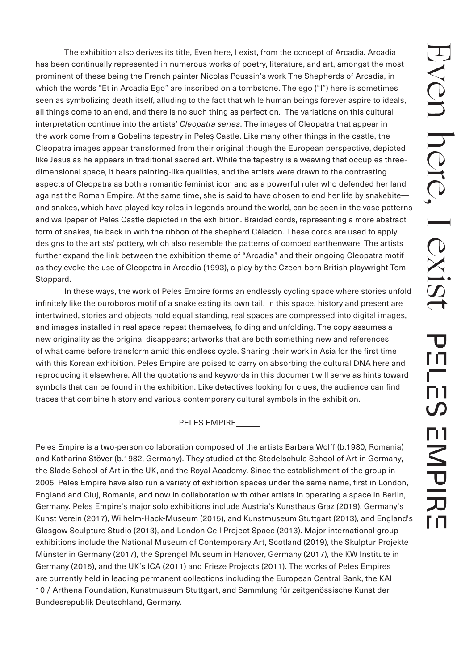The exhibition also derives its title, Even here, I exist, from the concept of Arcadia. Arcadia has been continually represented in numerous works of poetry, literature, and art, amongst the most prominent of these being the French painter Nicolas Poussin's work The Shepherds of Arcadia, in which the words "Et in Arcadia Ego" are inscribed on a tombstone. The ego ("I") here is sometimes seen as symbolizing death itself, alluding to the fact that while human beings forever aspire to ideals, all things come to an end, and there is no such thing as perfection. The variations on this cultural interpretation continue into the artists' *Cleopatra series*. The images of Cleopatra that appear in the work come from a Gobelins tapestry in Peleș Castle. Like many other things in the castle, the Cleopatra images appear transformed from their original though the European perspective, depicted like Jesus as he appears in traditional sacred art. While the tapestry is a weaving that occupies threedimensional space, it bears painting-like qualities, and the artists were drawn to the contrasting aspects of Cleopatra as both a romantic feminist icon and as a powerful ruler who defended her land against the Roman Empire. At the same time, she is said to have chosen to end her life by snakebite and snakes, which have played key roles in legends around the world, can be seen in the vase patterns and wallpaper of Peleș Castle depicted in the exhibition. Braided cords, representing a more abstract form of snakes, tie back in with the ribbon of the shepherd Céladon. These cords are used to apply designs to the artists' pottery, which also resemble the patterns of combed earthenware. The artists further expand the link between the exhibition theme of "Arcadia" and their ongoing Cleopatra motif as they evoke the use of Cleopatra in Arcadia (1993), a play by the Czech-born British playwright Tom Stoppard.

 In these ways, the work of Peles Empire forms an endlessly cycling space where stories unfold infinitely like the ouroboros motif of a snake eating its own tail. In this space, history and present are intertwined, stories and objects hold equal standing, real spaces are compressed into digital images, and images installed in real space repeat themselves, folding and unfolding. The copy assumes a new originality as the original disappears; artworks that are both something new and references of what came before transform amid this endless cycle. Sharing their work in Asia for the first time with this Korean exhibition, Peles Empire are poised to carry on absorbing the cultural DNA here and reproducing it elsewhere. All the quotations and keywords in this document will serve as hints toward symbols that can be found in the exhibition. Like detectives looking for clues, the audience can find traces that combine history and various contemporary cultural symbols in the exhibition.

## PELES EMPIRE

Peles Empire is a two-person collaboration composed of the artists Barbara Wolff (b.1980, Romania) and Katharina Stöver (b.1982, Germany). They studied at the Stedelschule School of Art in Germany, the Slade School of Art in the UK, and the Royal Academy. Since the establishment of the group in 2005, Peles Empire have also run a variety of exhibition spaces under the same name, first in London, England and Cluj, Romania, and now in collaboration with other artists in operating a space in Berlin, Germany. Peles Empire's major solo exhibitions include Austria's Kunsthaus Graz (2019), Germany's Kunst Verein (2017), Wilhelm-Hack-Museum (2015), and Kunstmuseum Stuttgart (2013), and England's Glasgow Sculpture Studio (2013), and London Cell Project Space (2013). Major international group exhibitions include the National Museum of Contemporary Art, Scotland (2019), the Skulptur Projekte Münster in Germany (2017), the Sprengel Museum in Hanover, Germany (2017), the KW Institute in Germany (2015), and the UK's ICA (2011) and Frieze Projects (2011). The works of Peles Empires are currently held in leading permanent collections including the European Central Bank, the KAI 10 / Arthena Foundation, Kunstmuseum Stuttgart, and Sammlung für zeitgenössische Kunst der Bundesrepublik Deutschland, Germany.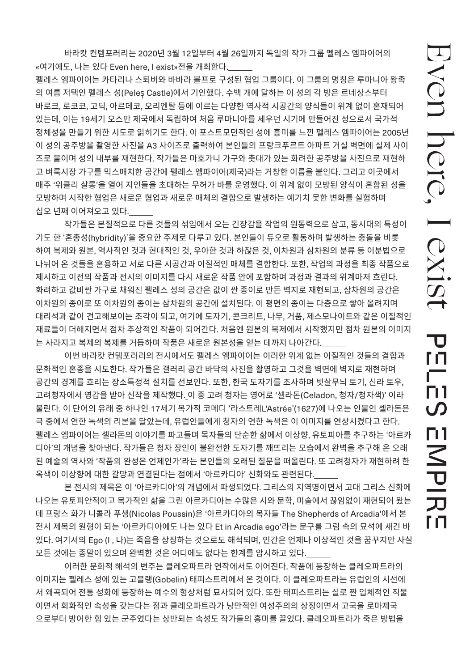바라캇 컨템포러리는 2020년 3월 12일부터 4월 26일까지 독일의 작가 그룹 펠레스 엠파이어의 «여기에도, 나는 있다 Even here, I exist»전을 개최한다.

펠레스 엠파이어는 카타리나 스퇴버와 바바라 볼프로 구성된 협업 그룹이다. 이 그룹의 명칭은 루마니아 왕족 의 여름 저택인 펠레스 성(Peleș Castle)에서 기인했다. 수백 개에 달하는 이 성의 각 방은 르네상스부터 바로크, 로코코, 고딕, 아르데코, 오리엔탈 등에 이르는 다양한 역사적 시공간의 양식들이 위계 없이 혼재되어 있는데, 이는 19세기 오스만 제국에서 독립하여 처음 루마니아를 세우던 시기에 만들어진 성으로서 국가적 정체성을 만들기 위한 시도로 읽히기도 한다. 이 포스트모던적인 성에 흥미를 느낀 펠레스 엠파이어는 2005년 이 성의 공주방을 촬영한 사진을 A3 사이즈로 출력하여 본인들의 프랑크푸르트 아파트 거실 벽면에 실제 사이 즈로 붙이며 성의 내부를 재현한다. 작가들은 마호가니 가구와 촛대가 있는 화려한 공주방을 사진으로 재현하 고 벼룩시장 가구를 믹스매치한 공간에 펠레스 엠파이어(제국)라는 거창한 이름을 붙인다. 그리고 이곳에서 매주 '위클리 살롱'을 열어 지인들을 초대하는 무허가 바를 운영했다. 이 위계 없이 모방된 양식이 혼합된 성을 모방하며 시작한 협업은 새로운 협업과 새로운 매체의 결합으로 발생하는 예기치 못한 변화를 실험하며 십오 년째 이어져오고 있다.

작가들은 본질적으로 다른 것들의 섞임에서 오는 긴장감을 작업의 원동력으로 삼고, 동시대의 특성이 기도 한 '혼종성(hybridity)'을 중요한 주제로 다루고 있다. 본인들이 듀오로 활동하며 발생하는 충돌을 비롯 하여 복제와 원본, 역사적인 것과 현대적인 것, 우아한 것과 하찮은 것, 이차원과 삼차원의 분류 등 이분법으로 나뉘어 온 것들을 혼용하고 서로 다른 시공간과 이질적인 매체를 결합한다. 또한, 작업의 과정을 최종 작품으로 제시하고 이전의 작품과 전시의 이미지를 다시 새로운 작품 안에 포함하며 과정과 결과의 위계마저 흐린다. 화려하고 값비싼 가구로 채워진 펠레스 성의 공간은 값이 싼 종이로 만든 벽지로 재현되고, 삼차원의 공간은 이차원의 종이로 또 이차원의 종이는 삼차원의 공간에 설치된다. 이 평면의 종이는 다층으로 쌓아 올려지며 대리석과 같이 견고해보이는 조각이 되고, 여기에 도자기, 콘크리트, 나무, 거품, 제스모나이트와 같은 이질적인 재료들이 더해지면서 점차 추상적인 작품이 되어간다. 처음엔 원본의 복제에서 시작했지만 점차 원본의 이미지 는 사라지고 복제의 복제를 거듭하며 작품은 새로운 원본성을 얻는 데까지 나아간다.

이번 바라캇 컨템포러리의 전시에서도 펠레스 엠파이어는 이러한 위계 없는 이질적인 것들의 결합과 문화적인 혼종을 시도한다. 작가들은 갤러리 공간 바닥의 사진을 촬영하고 그것을 벽면에 벽지로 재현하며 공간의 경계를 흐리는 장소특정적 설치를 선보인다. 또한, 한국 도자기를 조사하며 빗살무늬 토기, 신라 토우, 고려청자에서 영감을 받아 신작을 제작했다. 이 중 고려 청자는 영어로 '셀라돈(Celadon, 청자/청자색)' 이라 불린다. 이 단어의 유래 중 하나인 17세기 목가적 코메디 '라스트레L'Astrée'(1627)에 나오는 인물인 셀라돈은 극 중에서 연한 녹색의 리본을 달았는데, 유럽인들에게 청자의 연한 녹색은 이 이미지를 연상시켰다고 한다. 펠레스 엠파이어는 셀라돈의 이야기를 파고들며 목자들의 단순한 삶에서 이상향, 유토피아를 추구하는 '아르카 디아'의 개념을 찾아낸다. 작가들은 청자 장인이 불완전한 도자기를 깨뜨리는 모습에서 완벽을 추구해 온 오래 된 예술의 역사와 '작품의 완성은 언제인가'라는 본인들의 오래된 질문을 떠올린다. 또 고려청자가 재현하려 한 옥색이 이상향에 대한 갈망과 연결된다는 점에서 '아르카디아' 신화와도 관련된다.

본 전시의 제목은 이 '아르카디아'의 개념에서 파생되었다. 그리스의 지역명이면서 고대 그리스 신화에 나오는 유토피안적이고 목가적인 삶을 그린 아르카디아는 수많은 시와 문학, 미술에서 끊임없이 재현되어 왔는 데 프랑스 화가 니콜라 푸생(Nicolas Poussin)은 '아르카디아의 목자들 The Shepherds of Arcadia'에서 본 전시 제목의 원형이 되는 '아르카디아에도 나는 있다 Et in Arcadia ego'라는 문구를 그림 속의 묘석에 새긴 바 있다. 여기서의 Ego (I , 나)는 죽음을 상징하는 것으로도 해석되며, 인간은 언제나 이상적인 것을 꿈꾸지만 사실 모든 것에는 종말이 있으며 완벽한 것은 어디에도 없다는 한계를 암시하고 있다.

이러한 문화적 해석의 변주는 클레오파트라 연작에서도 이어진다. 작품에 등장하는 클레오파트라의 이미지는 펠레스 성에 있는 고블랭(Gobelin) 태피스트리에서 온 것이다. 이 클레오파트라는 유럽인의 시선에 서 왜곡되어 전통 성화에 등장하는 예수의 형상처럼 묘사되어 있다. 또한 태피스트리는 실로 짠 입체적인 직물 이면서 회화적인 속성을 갖는다는 점과 클레오파트라가 낭만적인 여성주의의 상징이면서 고국을 로마제국 으로부터 방어한 힘 있는 군주였다는 상반되는 속성도 작가들의 흥미를 끌었다. 클레오파트라가 죽은 방법을